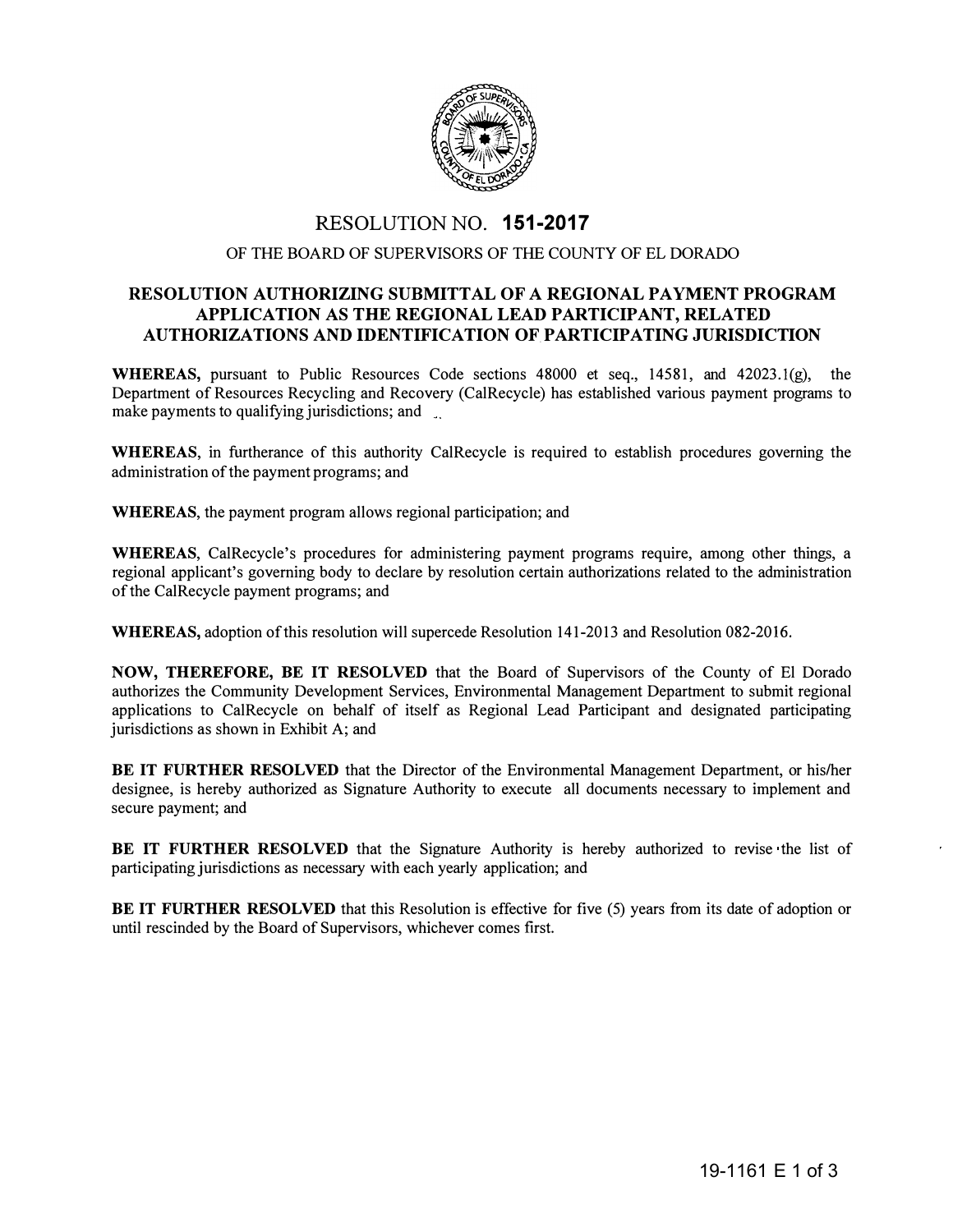

## RESOLUTIONNO. **151-2017**

## OF THE BOARD OF SUPERVISORS OF THE COUNTY OF EL DORADO

## **RESOLUTION AUTHORIZING SUBMITTAL OF A REGIONAL PAYMENT PROGRAM APPLICATION AS THE REGIONAL LEAD PARTICIPANT, RELATED AUTHORIZATIONS AND IDENTIFICATION OF.PARTICIPATING JURISDICTION**

**WHEREAS,** pursuant to Public Resources Code sections 48000 et seq., 14581, and 42023.l(g), the Department of Resources Recycling and Recovery (CalRecycle) has established various payment programs to make payments to qualifying jurisdictions; and

**WHEREAS,** in furtherance of this authority CalRecycle is required to establish procedures governing the administration of the payment programs; and

**WHEREAS,** the payment program allows regional participation; and

**WHEREAS,** CalRecycle's procedures for administering payment programs require, among other things, a regional applicant's governing body to declare by resolution certain authorizations related to the administration of the CalRecycle payment programs; and

**WHEREAS,** adoption of this resolution will supercede Resolution 141-2013 and Resolution 082-2016.

**NOW, THEREFORE, BE IT RESOLVED** that the Board of Supervisors of the County of El Dorado authorizes the Community Development Services, Environmental Management Department to submit regional applications to CalRecycle on behalf of itself as Regional Lead Participant and designated participating jurisdictions as shown in Exhibit A; and

**BE IT FURTHER RESOLVED** that the Director of the Environmental Management Department, or his/her designee, is hereby authorized as Signature Authority to execute all documents necessary to implement and secure payment; and

**BE** IT **FURTHER RESOLVED** that the Signature Authority is hereby authorized to revise the list of participating jurisdictions as necessary with each yearly application; and

**BE IT FURTHER RESOLVED** that this Resolution is effective for five (5) years from its date of adoption or until rescinded by the Board of Supervisors, whichever comes first.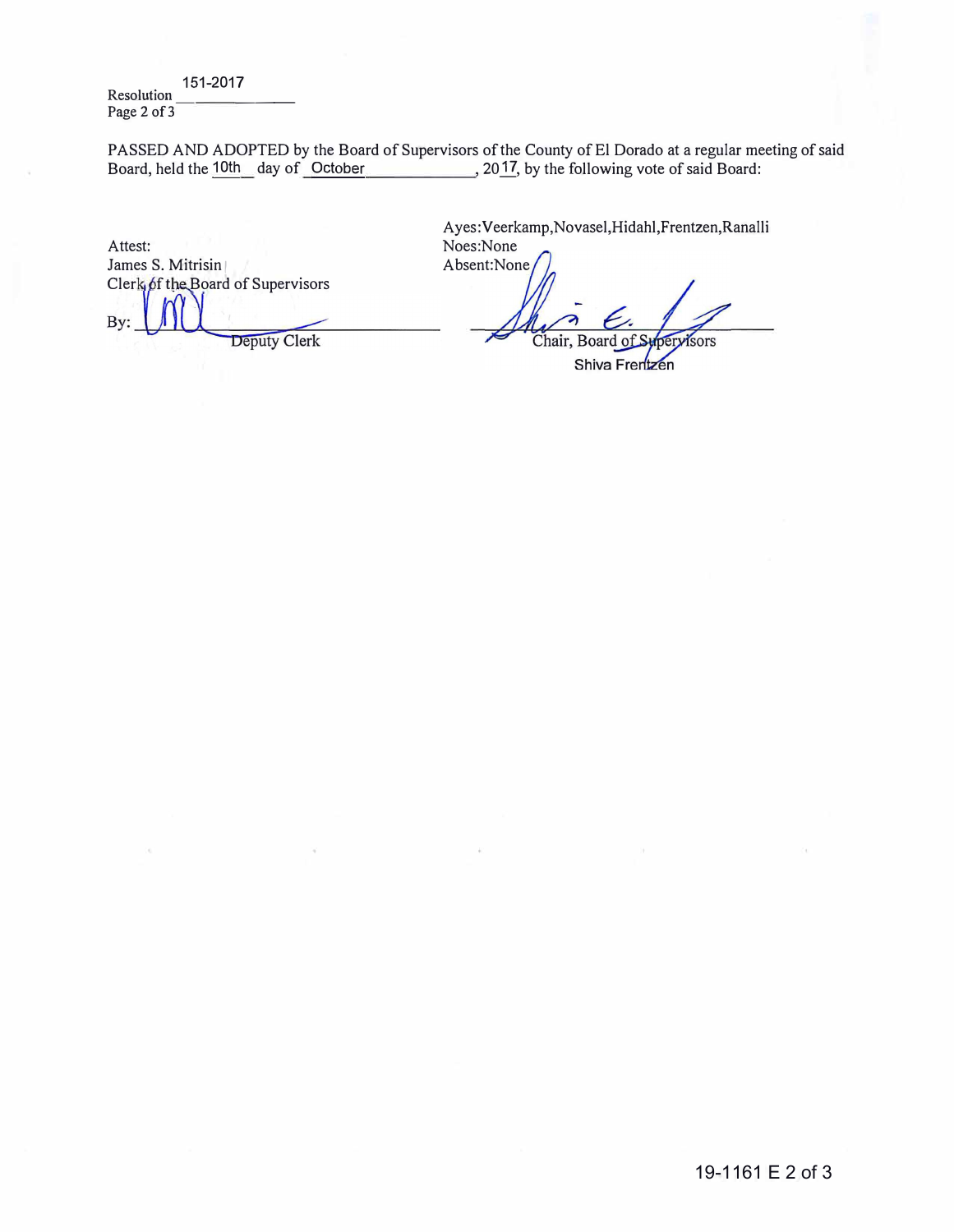151-2017 Resolution Page 2 of 3

PASSED AND ADOPTED by the Board of Supervisors of the County of El Dorado at a regular meeting of said<br>Board, held the 10th day of October 2017, by the following vote of said Board: Board, held the 10th day of October

Attest: James S. Mitrisin Clerk  $\oint$ f the Board of Supervisors By: **Deputy Clerk** 

Ayes: Veerkamp,Novasel,Hidahl,Frentzen,Ranalli Noes:None

Absent:None

Chair, Board of pervisors

Shiva Frentzen